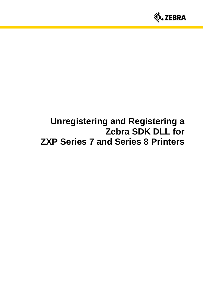

# **Unregistering and Registering a Zebra SDK DLL for ZXP Series 7 and Series 8 Printers**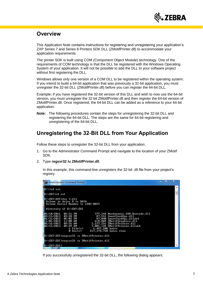

## **Overview**

This Application Note contains instructions for registering and unregistering your application's ZXP Series 7 and Series 8 Printers SDK DLL (ZMotifPrinter.dll) to accommodate your application requirements.

The printer SDK is built using COM (Component Object Module) technology. One of the requirements of COM technology is that the DLL be registered with the Windows Operating System of your application. It will not be possible to add the DLL to your software project without first registering the DLL.

Windows allows only one version of a COM DLL to be registered within the operating system. If you intend to build a 64-bit application that was previously a 32-bit application, you must unregister the 32-bit DLL (ZMotifPrinter.dll) before you can register the 64-bit DLL.

Example**:** if you have registered the 32-bit version of this DLL and wish to now use the 64-bit version, you must unregister the 32 bit ZMotifPrinter.dll and then register the 64-bit version of ZMotifPrinter.dll. Once registered, the 64-bit DLL can be added as a reference to your 64-bit application.

**Note:** The following procedures contain the steps for unregistering the 32-bit DLL and registering the 64-bit DLL. The steps are the same for 64-bit registering and unregistering of the 64-bit DLL.

## **Unregistering the 32-Bit DLL from Your Application**

Follow these steps to unregister the 32-bit DLL from your application.

- 1. Go to the Administrator Command Prompt and navigate to the location of your ZMotif SDK.
- 2. Type **regsvr32 /u ZMotifPrinter.dll**.

In this example, this command-line unregisters the 32-bit .dll file from your project's registry.

| <b>REA</b> Administrator: Command Prompt                                                                                                                                                                                                                                                                                                                                                      | $\equiv$ | ш | x |  |  |
|-----------------------------------------------------------------------------------------------------------------------------------------------------------------------------------------------------------------------------------------------------------------------------------------------------------------------------------------------------------------------------------------------|----------|---|---|--|--|
| $D:\Sigma$ d zxt                                                                                                                                                                                                                                                                                                                                                                              |          |   |   |  |  |
| D:\ZXT>cd zxt                                                                                                                                                                                                                                                                                                                                                                                 |          |   |   |  |  |
| D:\ZXT\ZXT>dir *.dll<br>Volume in drive D is DATA<br><b>Volume Serial Number is 1EBC-0AF3</b>                                                                                                                                                                                                                                                                                                 |          |   |   |  |  |
| Directory of D:\ZXT\ZXT                                                                                                                                                                                                                                                                                                                                                                       |          |   |   |  |  |
| 377.344 Neodynamic.SDK.Barcode.dll<br>02/15/2013 03:28 PM<br>87.552 SmartCardOps.dll<br>01/31/2013 05:02 PM<br>87,040 SmartCardOps.dllx64<br>11/01/2012 11:08 AM<br>618,888 ZMotifGraphics.dll<br>05/16/2013 09:26 AM<br>2.237.256 ZMotifPrinter.dll<br>02/15/2013<br>3.085.128 ZMotifPrinter.dllx64<br>09:49 AM<br>$6$ File $(s)$<br>$6.493.208$ bytes<br>0 Dir(s)<br>217,374,720 bytes free |          |   |   |  |  |
| D:\ZXT\ZXT>regsvr32 /u ZMotifPrinter.dll                                                                                                                                                                                                                                                                                                                                                      |          |   |   |  |  |
| D:\ZXT\ZXT>regsvr32 /u ZMotifPrinter.dll                                                                                                                                                                                                                                                                                                                                                      |          |   |   |  |  |
| D:\ZXT\ZXT>                                                                                                                                                                                                                                                                                                                                                                                   |          |   |   |  |  |

If you successfully unregistered the 32-bit DLL, the following dialog appears.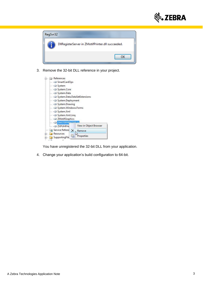



3. Remove the 32-bit DLL reference in your project.

| <b>SmartCardOps</b>                                                                |                        |
|------------------------------------------------------------------------------------|------------------------|
|                                                                                    |                        |
| i—⊸⊒ System                                                                        |                        |
| i ∗□ System.Core                                                                   |                        |
| l System.Data                                                                      |                        |
| System.Data.DataSetExtensions                                                      |                        |
| System.Deployment                                                                  |                        |
| <b>Existem.Drawing</b>                                                             |                        |
| System.Windows.Forms                                                               |                        |
| i Gystem.Xml                                                                       |                        |
| l System.Xml.Ling                                                                  |                        |
|                                                                                    |                        |
|                                                                                    |                        |
|                                                                                    |                        |
|                                                                                    | View in Object Browser |
| - - ZMotifGraphics<br><b>EXAMPLE PR</b><br><b>EXPUHFHe</b><br>Service Referer<br>X | Remove                 |
| Resources                                                                          | Properties             |

You have unregistered the 32-bit DLL from your application.

4. Change your application's build configuration to 64-bit.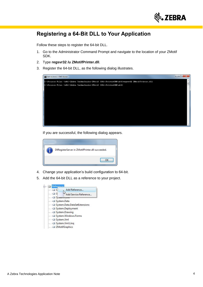

# **Registering a 64-Bit DLL to Your Application**

Follow these steps to register the 64-bit DLL.

- 1. Go to the Administrator Command Prompt and navigate to the location of your ZMotif SDK.
- 2. Type **regsvr32 /u ZMotifPrinter.dll**.
- 3. Register the 64-bit DLL, as the following dialog illustrates.



If you are successful, the following dialog appears.



- 4. Change your application's build configuration to 64-bit.
- 5. Add the 64-bit DLL as a reference to your project.

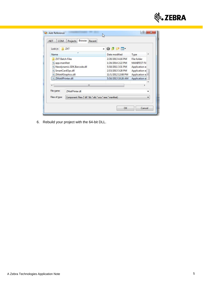

| .NET<br>COM                                                                                                                                  | Browse<br>Projects<br>Recent                               |                                                                                                                              |                                                                                                                   |
|----------------------------------------------------------------------------------------------------------------------------------------------|------------------------------------------------------------|------------------------------------------------------------------------------------------------------------------------------|-------------------------------------------------------------------------------------------------------------------|
| Look in:                                                                                                                                     | ZXT                                                        | $- 0 0 0 0$                                                                                                                  |                                                                                                                   |
| Name                                                                                                                                         |                                                            | Date modified                                                                                                                | ▴<br>Type                                                                                                         |
| <b>ZXT Batch Files</b><br><sup>®</sup> app.manifest<br>SmartCardOps.dll<br><b>&amp; ZMotifGraphics.dll</b><br><sup>3</sup> ZMotifPrinter.dll | Neodynamic.SDK.Barcode.dll                                 | 2/20/2013 4:16 PM<br>1/24/2014 2:22 PM<br>5/18/2011 3:31 PM<br>2/15/2013 3:28 PM<br>11/1/2012 12:08 PM<br>5/16/2013 10:26 AM | File folder<br><b>MANIFEST Fil</b><br>Application e:<br>Application e<br>Application $e \equiv$<br>Application et |
|                                                                                                                                              | ш                                                          |                                                                                                                              |                                                                                                                   |
| File name:                                                                                                                                   | <b>ZMotifPrinter dll</b>                                   |                                                                                                                              |                                                                                                                   |
| Files of type:                                                                                                                               | Component Files (".dll;".tlb;".olb;".ocx;".exe;".manifest) |                                                                                                                              | ▼                                                                                                                 |

6. Rebuild your project with the 64-bit DLL.